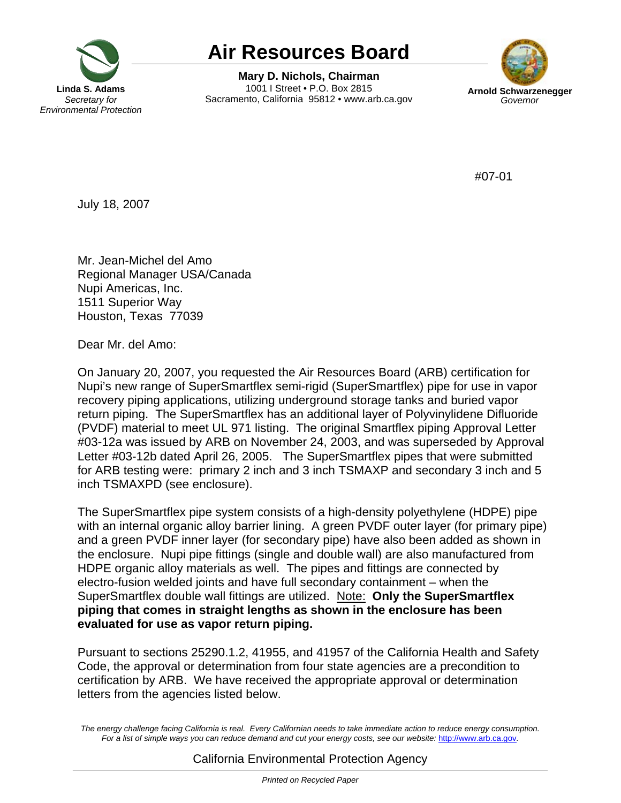

## **Air Resources Board**

**Mary D. Nichols, Chairman**  1001 I Street • P.O. Box 2815 Sacramento, California 95812 • www.arb.ca.gov **Arnold Schwarzenegger** 



#07-01

July 18, 2007

Mr. Jean-Michel del Amo Regional Manager USA/Canada Nupi Americas, Inc. 1511 Superior Way Houston, Texas 77039

Dear Mr. del Amo:

On January 20, 2007, you requested the Air Resources Board (ARB) certification for Nupi's new range of SuperSmartflex semi-rigid (SuperSmartflex) pipe for use in vapor recovery piping applications, utilizing underground storage tanks and buried vapor return piping. The SuperSmartflex has an additional layer of Polyvinylidene Difluoride (PVDF) material to meet UL 971 listing. The original Smartflex piping Approval Letter #03-12a was issued by ARB on November 24, 2003, and was superseded by Approval Letter #03-12b dated April 26, 2005. The SuperSmartflex pipes that were submitted for ARB testing were: primary 2 inch and 3 inch TSMAXP and secondary 3 inch and 5 inch TSMAXPD (see enclosure).

 SuperSmartflex double wall fittings are utilized. Note: **Only the SuperSmartflex**  The SuperSmartflex pipe system consists of a high-density polyethylene (HDPE) pipe with an internal organic alloy barrier lining. A green PVDF outer layer (for primary pipe) and a green PVDF inner layer (for secondary pipe) have also been added as shown in the enclosure. Nupi pipe fittings (single and double wall) are also manufactured from HDPE organic alloy materials as well. The pipes and fittings are connected by electro-fusion welded joints and have full secondary containment – when the **piping that comes in straight lengths as shown in the enclosure has been evaluated for use as vapor return piping.** 

Pursuant to sections 25290.1.2, 41955, and 41957 of the California Health and Safety Code, the approval or determination from four state agencies are a precondition to certification by ARB. We have received the appropriate approval or determination letters from the agencies listed below.

The energy challenge facing California is real. Every Californian needs to take immediate action to reduce energy consumption. Fora list of simple ways you can reduce demand and cut your energy costs, see our website: http://www.arb.ca.gov.

## California Environmental Protection Agency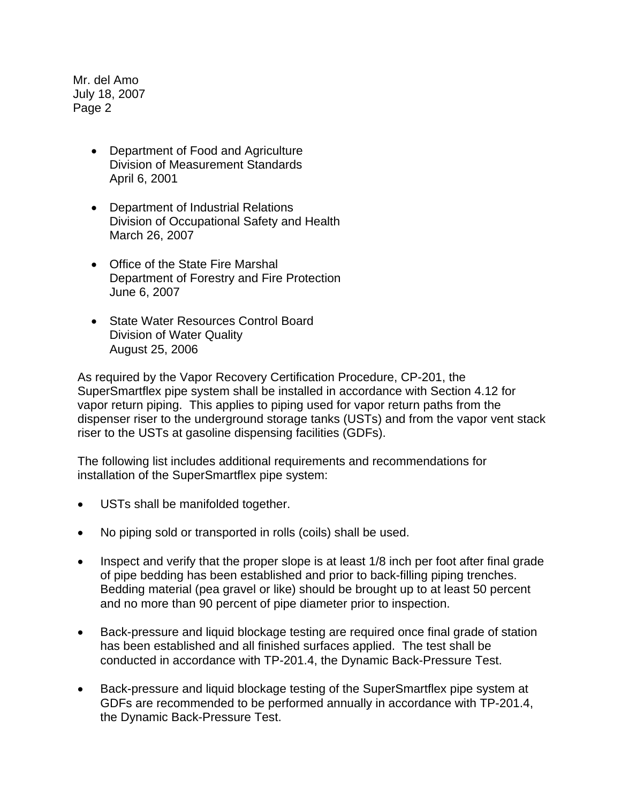Mr. del Amo July 18, 2007 Page 2

- Department of Food and Agriculture Division of Measurement Standards April 6, 2001
- Department of Industrial Relations Division of Occupational Safety and Health March 26, 2007
- Office of the State Fire Marshal Department of Forestry and Fire Protection June 6, 2007
- State Water Resources Control Board Division of Water Quality August 25, 2006

As required by the Vapor Recovery Certification Procedure, CP-201, the SuperSmartflex pipe system shall be installed in accordance with Section 4.12 for vapor return piping. This applies to piping used for vapor return paths from the dispenser riser to the underground storage tanks (USTs) and from the vapor vent stack riser to the USTs at gasoline dispensing facilities (GDFs).

The following list includes additional requirements and recommendations for installation of the SuperSmartflex pipe system:

- USTs shall be manifolded together.
- No piping sold or transported in rolls (coils) shall be used.
- Inspect and verify that the proper slope is at least 1/8 inch per foot after final grade of pipe bedding has been established and prior to back-filling piping trenches. Bedding material (pea gravel or like) should be brought up to at least 50 percent and no more than 90 percent of pipe diameter prior to inspection.
- Back-pressure and liquid blockage testing are required once final grade of station has been established and all finished surfaces applied. The test shall be conducted in accordance with TP-201.4, the Dynamic Back-Pressure Test.
- Back-pressure and liquid blockage testing of the SuperSmartflex pipe system at GDFs are recommended to be performed annually in accordance with TP-201.4, the Dynamic Back-Pressure Test.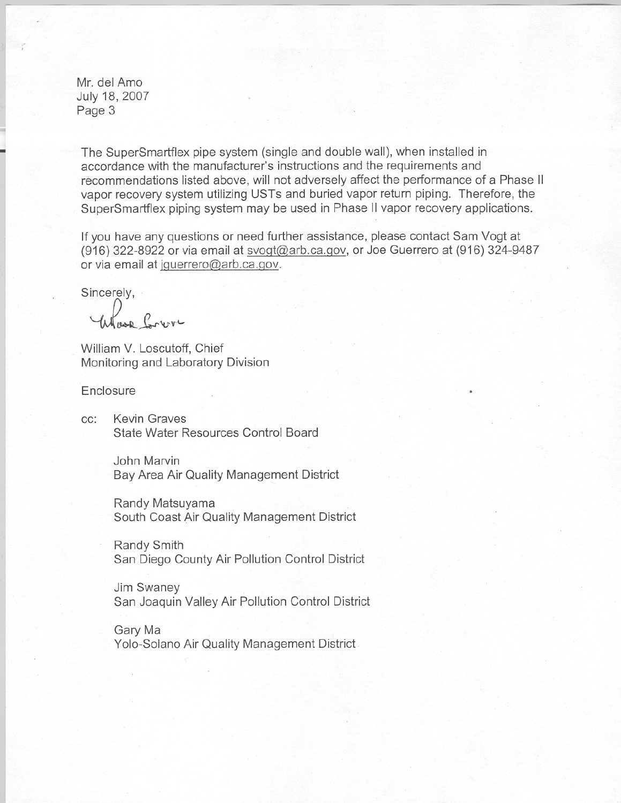Mr. del Amo July 18, 2007 Page 3

The SuperSmartflex pipe system (single and double wall), when installed in accordance with the manufacturer's instructions and the requirements and recommendations listed above, will not adversely affect the performance of a Phase II vapor recovery system utilizing USTs and buried vapor return piping. Therefore, the SuperSmartflex piping system may be used in Phase **II** vapor recovery applications.

If you have any questions or need further assistance, please contact Sam Vogt at (916) 322-8922 or via email at svogt@arb.ca.gov, or Joe Guerrero at (916) 324-9487 or via email at jquerrero@arb.ca.gov.

Sincerely,

*~IM-J.-.",v'-*

William V. Loscutoff, Chief Monitoring and Laboratory Division

**Enclosure** 

cc: Kevin Graves State Water Resources Control Board

> John Marvin Bay Area Air Quality Management District

Randy Matsuyama . South Coast Air Quality Management District

Randy Smith San Diego County Air Pollution Control District

Jim Swaney San Joaquin Valley Air Pollution Control District

Gary Ma Yolo-Solano Air Quality Management District